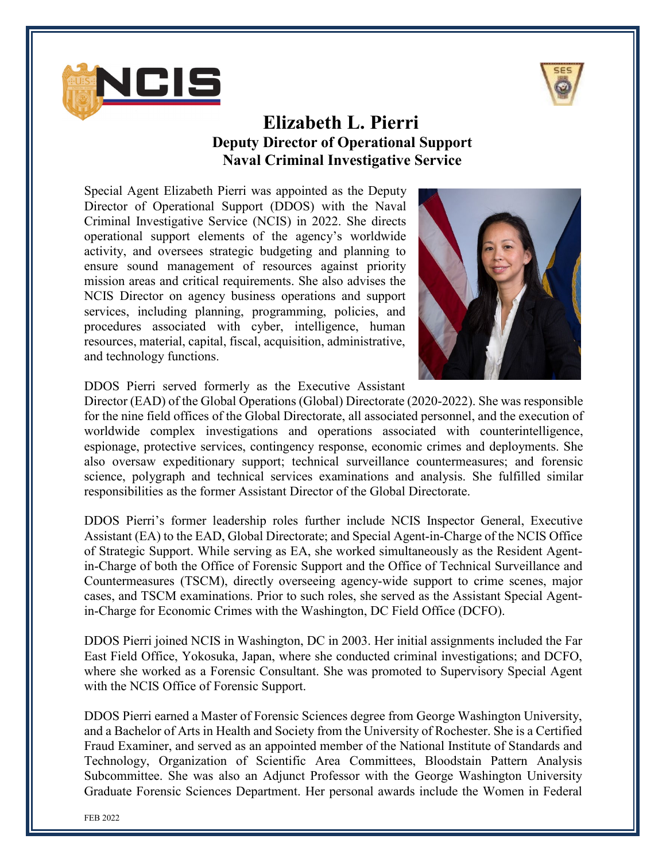



## **Elizabeth L. Pierri Deputy Director of Operational Support Naval Criminal Investigative Service**

Special Agent Elizabeth Pierri was appointed as the Deputy Director of Operational Support (DDOS) with the Naval Criminal Investigative Service (NCIS) in 2022. She directs operational support elements of the agency's worldwide activity, and oversees strategic budgeting and planning to ensure sound management of resources against priority mission areas and critical requirements. She also advises the NCIS Director on agency business operations and support services, including planning, programming, policies, and procedures associated with cyber, intelligence, human resources, material, capital, fiscal, acquisition, administrative, and technology functions.



DDOS Pierri served formerly as the Executive Assistant

Director (EAD) of the Global Operations (Global) Directorate (2020-2022). She was responsible for the nine field offices of the Global Directorate, all associated personnel, and the execution of worldwide complex investigations and operations associated with counterintelligence, espionage, protective services, contingency response, economic crimes and deployments. She also oversaw expeditionary support; technical surveillance countermeasures; and forensic science, polygraph and technical services examinations and analysis. She fulfilled similar responsibilities as the former Assistant Director of the Global Directorate.

DDOS Pierri's former leadership roles further include NCIS Inspector General, Executive Assistant (EA) to the EAD, Global Directorate; and Special Agent-in-Charge of the NCIS Office of Strategic Support. While serving as EA, she worked simultaneously as the Resident Agentin-Charge of both the Office of Forensic Support and the Office of Technical Surveillance and Countermeasures (TSCM), directly overseeing agency-wide support to crime scenes, major cases, and TSCM examinations. Prior to such roles, she served as the Assistant Special Agentin-Charge for Economic Crimes with the Washington, DC Field Office (DCFO).

DDOS Pierri joined NCIS in Washington, DC in 2003. Her initial assignments included the Far East Field Office, Yokosuka, Japan, where she conducted criminal investigations; and DCFO, where she worked as a Forensic Consultant. She was promoted to Supervisory Special Agent with the NCIS Office of Forensic Support.

DDOS Pierri earned a Master of Forensic Sciences degree from George Washington University, and a Bachelor of Arts in Health and Society from the University of Rochester. She is a Certified Fraud Examiner, and served as an appointed member of the National Institute of Standards and Technology, Organization of Scientific Area Committees, Bloodstain Pattern Analysis Subcommittee. She was also an Adjunct Professor with the George Washington University Graduate Forensic Sciences Department. Her personal awards include the Women in Federal